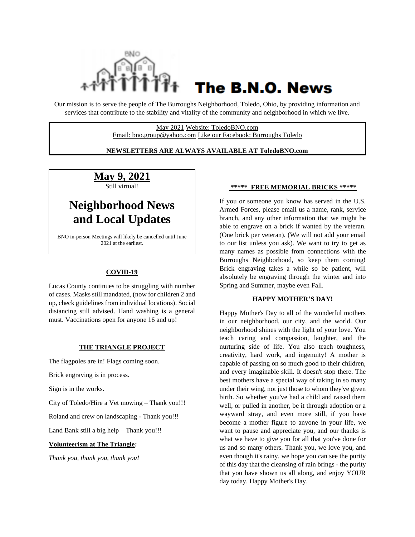

# The B.N.O. News

Our mission is to serve the people of The Burroughs Neighborhood, Toledo, Ohio, by providing information and services that contribute to the stability and vitality of the community and neighborhood in which we live.

> May 2021 Website: ToledoBNO.com Email: bno.group@yahoo.com Like our Facebook: Burroughs Toledo

#### **NEWSLETTERS ARE ALWAYS AVAILABLE AT ToledoBNO.com**

**May 9, 2021** Still virtual!

# **Neighborhood News and Local Updates**

BNO in-person Meetings will likely be cancelled until June 2021 at the earliest.

#### **COVID-19**

Lucas County continues to be struggling with number of cases. Masks still mandated, (now for children 2 and up, check guidelines from individual locations). Social distancing still advised. Hand washing is a general must. Vaccinations open for anyone 16 and up!

#### **THE TRIANGLE PROJECT**

The flagpoles are in! Flags coming soon.

Brick engraving is in process.

Sign is in the works.

City of Toledo/Hire a Vet mowing – Thank you!!!

Roland and crew on landscaping - Thank you!!!

Land Bank still a big help – Thank you!!!

#### **Volunteerism at The Triangle:**

*Thank you, thank you, thank you!*

#### **\*\*\*\*\* FREE MEMORIAL BRICKS \*\*\*\*\***

If you or someone you know has served in the U.S. Armed Forces, please email us a name, rank, service branch, and any other information that we might be able to engrave on a brick if wanted by the veteran. (One brick per veteran). (We will not add your email to our list unless you ask). We want to try to get as many names as possible from connections with the Burroughs Neighborhood, so keep them coming! Brick engraving takes a while so be patient, will absolutely be engraving through the winter and into Spring and Summer, maybe even Fall.

#### **HAPPY MOTHER'S DAY!**

Happy Mother's Day to all of the wonderful mothers in our neighborhood, our city, and the world. Our neighborhood shines with the light of your love. You teach caring and compassion, laughter, and the nurturing side of life. You also teach toughness, creativity, hard work, and ingenuity! A mother is capable of passing on so much good to their children, and every imaginable skill. It doesn't stop there. The best mothers have a special way of taking in so many under their wing, not just those to whom they've given birth. So whether you've had a child and raised them well, or pulled in another, be it through adoption or a wayward stray, and even more still, if you have become a mother figure to anyone in your life, we want to pause and appreciate you, and our thanks is what we have to give you for all that you've done for us and so many others. Thank you, we love you, and even though it's rainy, we hope you can see the purity of this day that the cleansing of rain brings - the purity that you have shown us all along, and enjoy YOUR day today. Happy Mother's Day.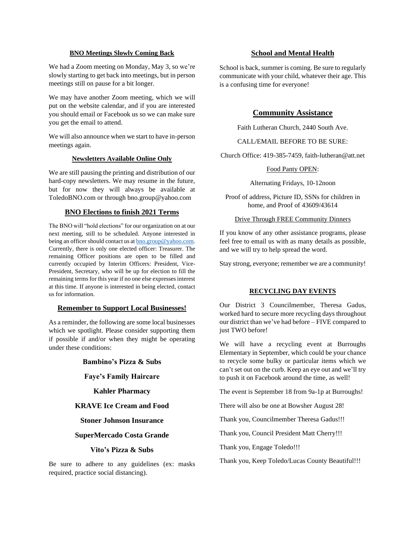#### **BNO Meetings Slowly Coming Back**

We had a Zoom meeting on Monday, May 3, so we're slowly starting to get back into meetings, but in person meetings still on pause for a bit longer.

We may have another Zoom meeting, which we will put on the website calendar, and if you are interested you should email or Facebook us so we can make sure you get the email to attend.

We will also announce when we start to have in-person meetings again.

#### **Newsletters Available Online Only**

We are still pausing the printing and distribution of our hard-copy newsletters. We may resume in the future, but for now they will always be available at ToledoBNO.com or through bno.group@yahoo.com

#### **BNO Elections to finish 2021 Terms**

The BNO will "hold elections" for our organization on at our next meeting, still to be scheduled. Anyone interested in being an officer should contact us at **bno.group@yahoo.com**. Currently, there is only one elected officer: Treasurer. The remaining Officer positions are open to be filled and currently occupied by Interim Officers: President, Vice-President, Secretary, who will be up for election to fill the remaining terms for this year if no one else expresses interest at this time. If anyone is interested in being elected, contact us for information.

#### **Remember to Support Local Businesses!**

As a reminder, the following are some local businesses which we spotlight. Please consider supporting them if possible if and/or when they might be operating under these conditions:

#### **Bambino's Pizza & Subs**

#### **Faye's Family Haircare**

**Kahler Pharmacy**

#### **KRAVE Ice Cream and Food**

#### **Stoner Johnson Insurance**

#### **SuperMercado Costa Grande**

#### **Vito's Pizza & Subs**

Be sure to adhere to any guidelines (ex: masks required, practice social distancing).

#### **School and Mental Health**

School is back, summer is coming. Be sure to regularly communicate with your child, whatever their age. This is a confusing time for everyone!

#### **Community Assistance**

Faith Lutheran Church, 2440 South Ave.

#### CALL/EMAIL BEFORE TO BE SURE:

Church Office: 419-385-7459, faith-lutheran@att.net

#### Food Panty OPEN:

Alternating Fridays, 10-12noon

Proof of address, Picture ID, SSNs for children in home, and Proof of 43609/43614

#### Drive Through FREE Community Dinners

If you know of any other assistance programs, please feel free to email us with as many details as possible, and we will try to help spread the word.

Stay strong, everyone; remember we are a community!

#### **RECYCLING DAY EVENTS**

Our District 3 Councilmember, Theresa Gadus, worked hard to secure more recycling days throughout our district than we've had before – FIVE compared to just TWO before!

We will have a recycling event at Burroughs Elementary in September, which could be your chance to recycle some bulky or particular items which we can't set out on the curb. Keep an eye out and we'll try to push it on Facebook around the time, as well!

The event is September 18 from 9a-1p at Burroughs!

There will also be one at Bowsher August 28!

Thank you, Councilmember Theresa Gadus!!!

Thank you, Council President Matt Cherry!!!

Thank you, Engage Toledo!!!

Thank you, Keep Toledo/Lucas County Beautiful!!!